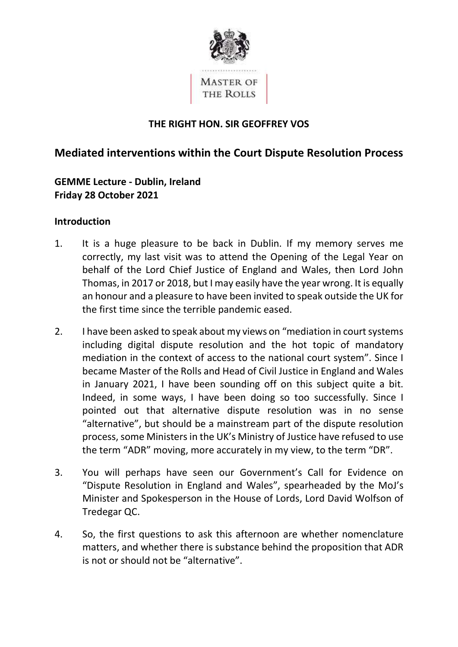

## THE RIGHT HON. SIR GEOFFREY VOS

# Mediated interventions within the Court Dispute Resolution Process

 GEMME Lecture - Dublin, Ireland Friday 28 October 2021

#### Introduction

- 1. It is a huge pleasure to be back in Dublin. If my memory serves me correctly, my last visit was to attend the Opening of the Legal Year on behalf of the Lord Chief Justice of England and Wales, then Lord John Thomas, in 2017 or 2018, but I may easily have the year wrong. It is equally an honour and a pleasure to have been invited to speak outside the UK for the first time since the terrible pandemic eased.
- 2. I have been asked to speak about my views on "mediation in court systems including digital dispute resolution and the hot topic of mandatory mediation in the context of access to the national court system". Since I became Master of the Rolls and Head of Civil Justice in England and Wales in January 2021, I have been sounding off on this subject quite a bit. Indeed, in some ways, I have been doing so too successfully. Since I pointed out that alternative dispute resolution was in no sense "alternative", but should be a mainstream part of the dispute resolution process, some Ministers in the UK's Ministry of Justice have refused to use the term "ADR" moving, more accurately in my view, to the term "DR".
- 3. You will perhaps have seen our Government's Call for Evidence on "Dispute Resolution in England and Wales", spearheaded by the MoJ's Minister and Spokesperson in the House of Lords, Lord David Wolfson of Tredegar QC.
- 4. So, the first questions to ask this afternoon are whether nomenclature matters, and whether there is substance behind the proposition that ADR is not or should not be "alternative".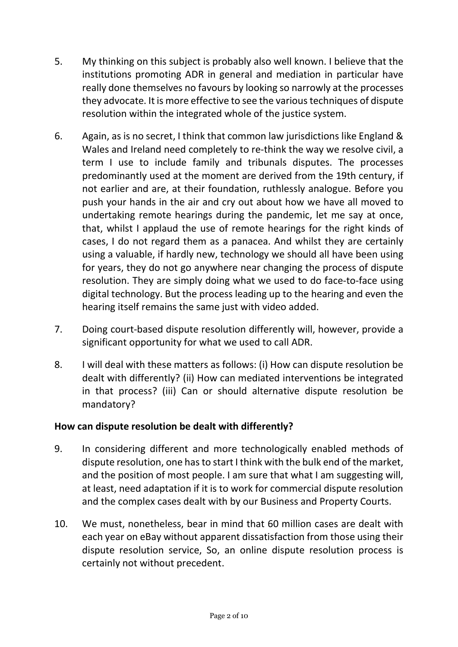- 5. My thinking on this subject is probably also well known. I believe that the institutions promoting ADR in general and mediation in particular have really done themselves no favours by looking so narrowly at the processes they advocate. It is more effective to see the various techniques of dispute resolution within the integrated whole of the justice system.
- 6. Again, as is no secret, I think that common law jurisdictions like England & Wales and Ireland need completely to re-think the way we resolve civil, a term I use to include family and tribunals disputes. The processes predominantly used at the moment are derived from the 19th century, if not earlier and are, at their foundation, ruthlessly analogue. Before you push your hands in the air and cry out about how we have all moved to undertaking remote hearings during the pandemic, let me say at once, that, whilst I applaud the use of remote hearings for the right kinds of cases, I do not regard them as a panacea. And whilst they are certainly using a valuable, if hardly new, technology we should all have been using for years, they do not go anywhere near changing the process of dispute resolution. They are simply doing what we used to do face-to-face using digital technology. But the process leading up to the hearing and even the hearing itself remains the same just with video added.
- 7. Doing court-based dispute resolution differently will, however, provide a significant opportunity for what we used to call ADR.
- 8. I will deal with these matters as follows: (i) How can dispute resolution be dealt with differently? (ii) How can mediated interventions be integrated in that process? (iii) Can or should alternative dispute resolution be mandatory?

### How can dispute resolution be dealt with differently?

- 9. In considering different and more technologically enabled methods of dispute resolution, one has to start I think with the bulk end of the market, and the position of most people. I am sure that what I am suggesting will, at least, need adaptation if it is to work for commercial dispute resolution and the complex cases dealt with by our Business and Property Courts.
- 10. We must, nonetheless, bear in mind that 60 million cases are dealt with each year on eBay without apparent dissatisfaction from those using their dispute resolution service, So, an online dispute resolution process is certainly not without precedent.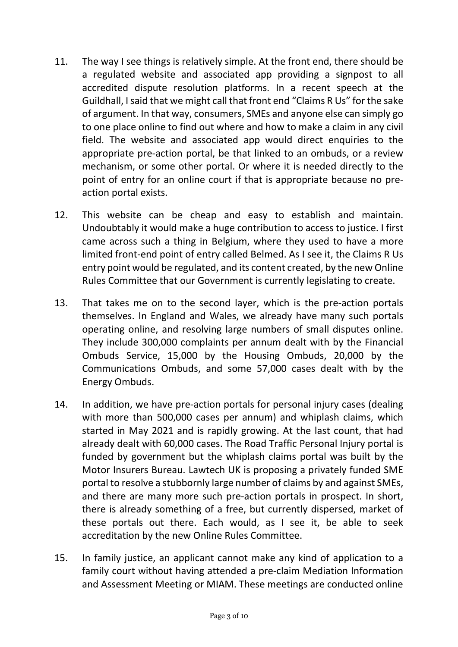- 11. The way I see things is relatively simple. At the front end, there should be a regulated website and associated app providing a signpost to all accredited dispute resolution platforms. In a recent speech at the Guildhall, Isaid that we might call that front end "Claims R Us" for the sake of argument. In that way, consumers, SMEs and anyone else can simply go to one place online to find out where and how to make a claim in any civil field. The website and associated app would direct enquiries to the appropriate pre-action portal, be that linked to an ombuds, or a review mechanism, or some other portal. Or where it is needed directly to the point of entry for an online court if that is appropriate because no pre-action portal exists.
- 12. This website can be cheap and easy to establish and maintain. Undoubtably it would make a huge contribution to access to justice. I first came across such a thing in Belgium, where they used to have a more limited front-end point of entry called Belmed. As I see it, the Claims R Us entry point would be regulated, and its content created, by the new Online Rules Committee that our Government is currently legislating to create.
- 13. That takes me on to the second layer, which is the pre-action portals themselves. In England and Wales, we already have many such portals operating online, and resolving large numbers of small disputes online. They include 300,000 complaints per annum dealt with by the Financial Ombuds Service, 15,000 by the Housing Ombuds, 20,000 by the Communications Ombuds, and some 57,000 cases dealt with by the Energy Ombuds.
- 14. In addition, we have pre-action portals for personal injury cases (dealing with more than 500,000 cases per annum) and whiplash claims, which started in May 2021 and is rapidly growing. At the last count, that had already dealt with 60,000 cases. The Road Traffic Personal Injury portal is funded by government but the whiplash claims portal was built by the Motor Insurers Bureau. Lawtech UK is proposing a privately funded SME portal to resolve a stubbornly large number of claims by and against SMEs, and there are many more such pre-action portals in prospect. In short, there is already something of a free, but currently dispersed, market of these portals out there. Each would, as I see it, be able to seek accreditation by the new Online Rules Committee.
- 15. In family justice, an applicant cannot make any kind of application to a family court without having attended a pre-claim Mediation Information and Assessment Meeting or MIAM. These meetings are conducted online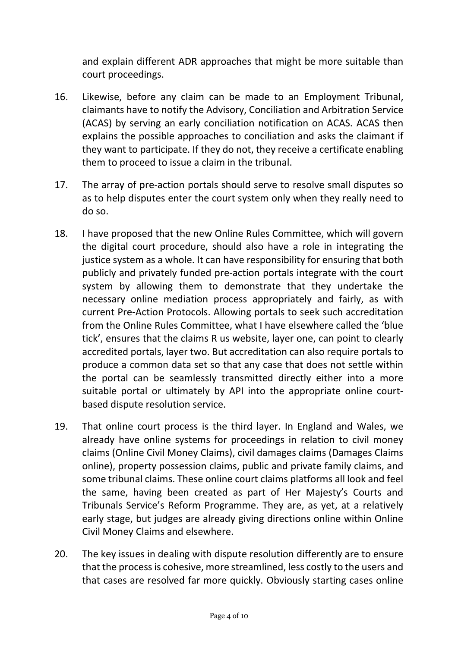and explain different ADR approaches that might be more suitable than court proceedings.

- 16. Likewise, before any claim can be made to an Employment Tribunal, claimants have to notify the Advisory, Conciliation and Arbitration Service (ACAS) by serving an early conciliation notification on ACAS. ACAS then explains the possible approaches to conciliation and asks the claimant if they want to participate. If they do not, they receive a certificate enabling them to proceed to issue a claim in the tribunal.
- 17. The array of pre-action portals should serve to resolve small disputes so as to help disputes enter the court system only when they really need to do so.
- 18. I have proposed that the new Online Rules Committee, which will govern the digital court procedure, should also have a role in integrating the justice system as a whole. It can have responsibility for ensuring that both publicly and privately funded pre-action portals integrate with the court system by allowing them to demonstrate that they undertake the necessary online mediation process appropriately and fairly, as with current Pre-Action Protocols. Allowing portals to seek such accreditation from the Online Rules Committee, what I have elsewhere called the 'blue tick', ensures that the claims R us website, layer one, can point to clearly accredited portals, layer two. But accreditation can also require portals to produce a common data set so that any case that does not settle within the portal can be seamlessly transmitted directly either into a more suitable portal or ultimately by API into the appropriate online court-based dispute resolution service.
- 19. That online court process is the third layer. In England and Wales, we already have online systems for proceedings in relation to civil money claims (Online Civil Money Claims), civil damages claims (Damages Claims online), property possession claims, public and private family claims, and some tribunal claims. These online court claims platforms all look and feel the same, having been created as part of Her Majesty's Courts and Tribunals Service's Reform Programme. They are, as yet, at a relatively early stage, but judges are already giving directions online within Online Civil Money Claims and elsewhere.
- 20. The key issues in dealing with dispute resolution differently are to ensure that the process is cohesive, more streamlined, less costly to the users and that cases are resolved far more quickly. Obviously starting cases online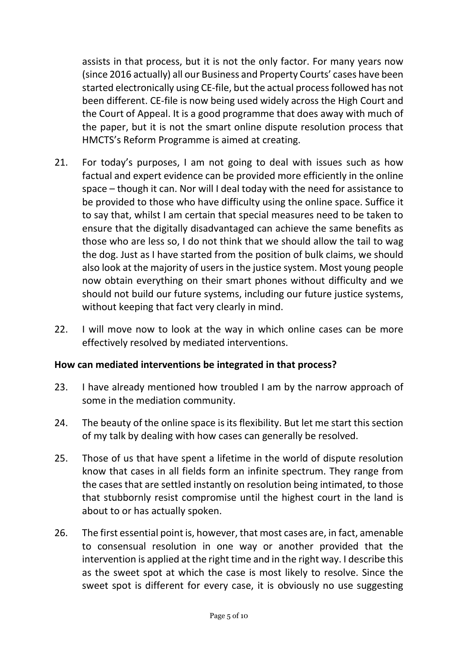assists in that process, but it is not the only factor. For many years now (since 2016 actually) all our Business and Property Courts' cases have been started electronically using CE-file, but the actual process followed has not been different. CE-file is now being used widely across the High Court and the Court of Appeal. It is a good programme that does away with much of the paper, but it is not the smart online dispute resolution process that HMCTS's Reform Programme is aimed at creating.

- 21. For today's purposes, I am not going to deal with issues such as how factual and expert evidence can be provided more efficiently in the online space – though it can. Nor will I deal today with the need for assistance to be provided to those who have difficulty using the online space. Suffice it to say that, whilst I am certain that special measures need to be taken to ensure that the digitally disadvantaged can achieve the same benefits as those who are less so, I do not think that we should allow the tail to wag the dog. Just as I have started from the position of bulk claims, we should also look at the majority of users in the justice system. Most young people now obtain everything on their smart phones without difficulty and we should not build our future systems, including our future justice systems, without keeping that fact very clearly in mind.
- 22. I will move now to look at the way in which online cases can be more effectively resolved by mediated interventions.

### How can mediated interventions be integrated in that process?

- 23. I have already mentioned how troubled I am by the narrow approach of some in the mediation community.
- 24. The beauty of the online space is its flexibility. But let me start this section of my talk by dealing with how cases can generally be resolved.
- 25. Those of us that have spent a lifetime in the world of dispute resolution know that cases in all fields form an infinite spectrum. They range from the cases that are settled instantly on resolution being intimated, to those that stubbornly resist compromise until the highest court in the land is about to or has actually spoken.
- 26. The first essential point is, however, that most cases are, in fact, amenable to consensual resolution in one way or another provided that the intervention is applied at the right time and in the right way. I describe this as the sweet spot at which the case is most likely to resolve. Since the sweet spot is different for every case, it is obviously no use suggesting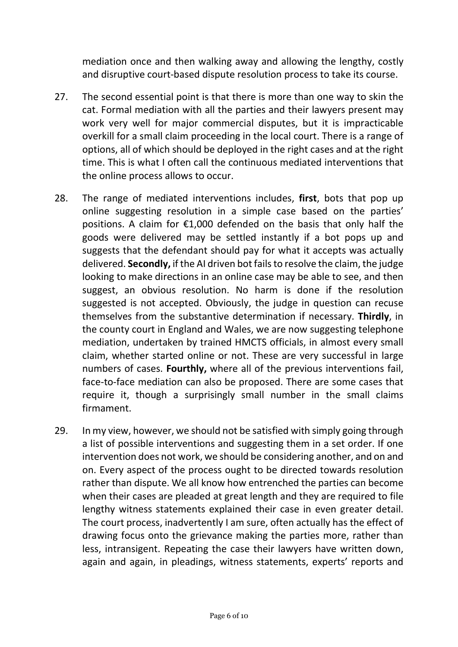mediation once and then walking away and allowing the lengthy, costly and disruptive court-based dispute resolution process to take its course.

- 27. The second essential point is that there is more than one way to skin the cat. Formal mediation with all the parties and their lawyers present may work very well for major commercial disputes, but it is impracticable overkill for a small claim proceeding in the local court. There is a range of options, all of which should be deployed in the right cases and at the right time. This is what I often call the continuous mediated interventions that the online process allows to occur.
- 28. The range of mediated interventions includes, first, bots that pop up online suggesting resolution in a simple case based on the parties' positions. A claim for €1,000 defended on the basis that only half the goods were delivered may be settled instantly if a bot pops up and suggests that the defendant should pay for what it accepts was actually delivered. Secondly, if the AI driven bot fails to resolve the claim, the judge looking to make directions in an online case may be able to see, and then suggest, an obvious resolution. No harm is done if the resolution suggested is not accepted. Obviously, the judge in question can recuse themselves from the substantive determination if necessary. Thirdly, in the county court in England and Wales, we are now suggesting telephone mediation, undertaken by trained HMCTS officials, in almost every small claim, whether started online or not. These are very successful in large numbers of cases. Fourthly, where all of the previous interventions fail, face-to-face mediation can also be proposed. There are some cases that require it, though a surprisingly small number in the small claims firmament.
- 29. In my view, however, we should not be satisfied with simply going through a list of possible interventions and suggesting them in a set order. If one intervention does not work, we should be considering another, and on and on. Every aspect of the process ought to be directed towards resolution rather than dispute. We all know how entrenched the parties can become when their cases are pleaded at great length and they are required to file lengthy witness statements explained their case in even greater detail. The court process, inadvertently I am sure, often actually has the effect of drawing focus onto the grievance making the parties more, rather than less, intransigent. Repeating the case their lawyers have written down, again and again, in pleadings, witness statements, experts' reports and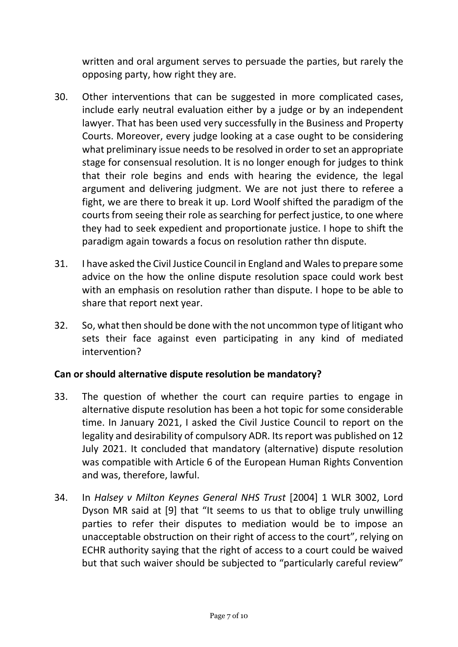written and oral argument serves to persuade the parties, but rarely the opposing party, how right they are.

- 30. Other interventions that can be suggested in more complicated cases, include early neutral evaluation either by a judge or by an independent lawyer. That has been used very successfully in the Business and Property Courts. Moreover, every judge looking at a case ought to be considering what preliminary issue needs to be resolved in order to set an appropriate stage for consensual resolution. It is no longer enough for judges to think that their role begins and ends with hearing the evidence, the legal argument and delivering judgment. We are not just there to referee a fight, we are there to break it up. Lord Woolf shifted the paradigm of the courts from seeing their role as searching for perfect justice, to one where they had to seek expedient and proportionate justice. I hope to shift the paradigm again towards a focus on resolution rather thn dispute.
- 31. I have asked the Civil Justice Council in England and Walesto prepare some advice on the how the online dispute resolution space could work best with an emphasis on resolution rather than dispute. I hope to be able to share that report next year.
- 32. So, what then should be done with the not uncommon type of litigant who sets their face against even participating in any kind of mediated intervention?

#### Can or should alternative dispute resolution be mandatory?

- 33. The question of whether the court can require parties to engage in alternative dispute resolution has been a hot topic for some considerable time. In January 2021, I asked the Civil Justice Council to report on the legality and desirability of compulsory ADR. Its report was published on 12 July 2021. It concluded that mandatory (alternative) dispute resolution was compatible with Article 6 of the European Human Rights Convention and was, therefore, lawful.
- 34. In Halsey v Milton Keynes General NHS Trust [2004] 1 WLR 3002, Lord Dyson MR said at [9] that "It seems to us that to oblige truly unwilling parties to refer their disputes to mediation would be to impose an unacceptable obstruction on their right of access to the court", relying on ECHR authority saying that the right of access to a court could be waived but that such waiver should be subjected to "particularly careful review"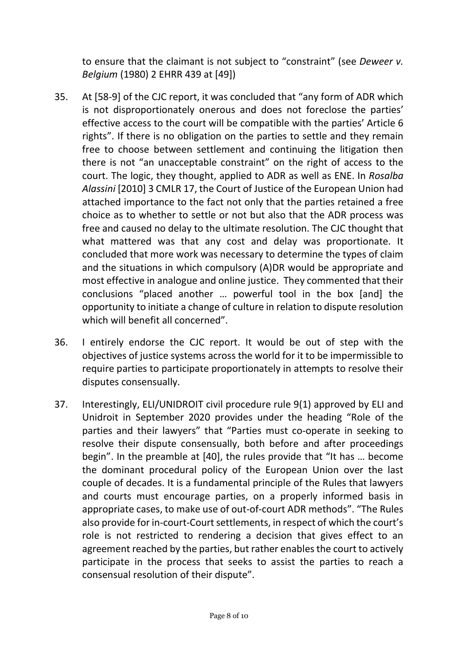to ensure that the claimant is not subject to "constraint" (see Deweer v. Belgium (1980) 2 EHRR 439 at [49])

- 35. At [58-9] of the CJC report, it was concluded that "any form of ADR which is not disproportionately onerous and does not foreclose the parties' effective access to the court will be compatible with the parties' Article 6 rights". If there is no obligation on the parties to settle and they remain free to choose between settlement and continuing the litigation then there is not "an unacceptable constraint" on the right of access to the court. The logic, they thought, applied to ADR as well as ENE. In Rosalba Alassini [2010] 3 CMLR 17, the Court of Justice of the European Union had attached importance to the fact not only that the parties retained a free choice as to whether to settle or not but also that the ADR process was free and caused no delay to the ultimate resolution. The CJC thought that what mattered was that any cost and delay was proportionate. It concluded that more work was necessary to determine the types of claim and the situations in which compulsory (A)DR would be appropriate and most effective in analogue and online justice. They commented that their conclusions "placed another … powerful tool in the box [and] the opportunity to initiate a change of culture in relation to dispute resolution which will benefit all concerned".
- 36. I entirely endorse the CJC report. It would be out of step with the objectives of justice systems across the world for it to be impermissible to require parties to participate proportionately in attempts to resolve their disputes consensually.
- 37. Interestingly, ELI/UNIDROIT civil procedure rule 9(1) approved by ELI and Unidroit in September 2020 provides under the heading "Role of the parties and their lawyers" that "Parties must co-operate in seeking to resolve their dispute consensually, both before and after proceedings begin". In the preamble at [40], the rules provide that "It has … become the dominant procedural policy of the European Union over the last couple of decades. It is a fundamental principle of the Rules that lawyers and courts must encourage parties, on a properly informed basis in appropriate cases, to make use of out-of-court ADR methods". "The Rules also provide for in-court-Court settlements, in respect of which the court's role is not restricted to rendering a decision that gives effect to an agreement reached by the parties, but rather enables the court to actively participate in the process that seeks to assist the parties to reach a consensual resolution of their dispute".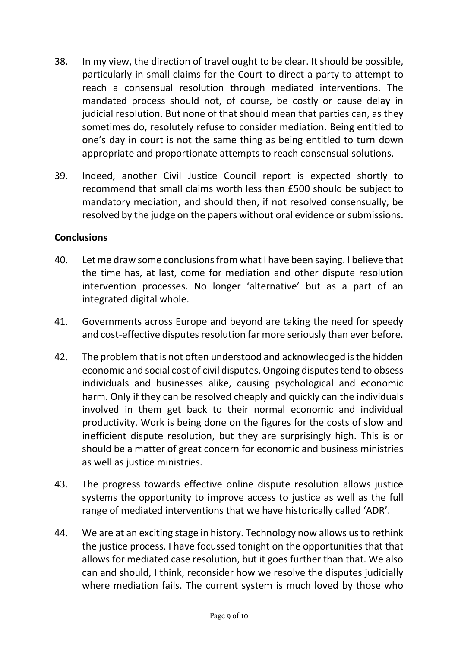- 38. In my view, the direction of travel ought to be clear. It should be possible, particularly in small claims for the Court to direct a party to attempt to reach a consensual resolution through mediated interventions. The mandated process should not, of course, be costly or cause delay in judicial resolution. But none of that should mean that parties can, as they sometimes do, resolutely refuse to consider mediation. Being entitled to one's day in court is not the same thing as being entitled to turn down appropriate and proportionate attempts to reach consensual solutions.
- 39. Indeed, another Civil Justice Council report is expected shortly to recommend that small claims worth less than £500 should be subject to mandatory mediation, and should then, if not resolved consensually, be resolved by the judge on the papers without oral evidence or submissions.

#### **Conclusions**

- 40. Let me draw some conclusions from what I have been saying. I believe that the time has, at last, come for mediation and other dispute resolution intervention processes. No longer 'alternative' but as a part of an integrated digital whole.
- 41. Governments across Europe and beyond are taking the need for speedy and cost-effective disputes resolution far more seriously than ever before.
- 42. The problem that is not often understood and acknowledged is the hidden economic and social cost of civil disputes. Ongoing disputes tend to obsess individuals and businesses alike, causing psychological and economic harm. Only if they can be resolved cheaply and quickly can the individuals involved in them get back to their normal economic and individual productivity. Work is being done on the figures for the costs of slow and inefficient dispute resolution, but they are surprisingly high. This is or should be a matter of great concern for economic and business ministries as well as justice ministries.
- 43. The progress towards effective online dispute resolution allows justice systems the opportunity to improve access to justice as well as the full range of mediated interventions that we have historically called 'ADR'.
- 44. We are at an exciting stage in history. Technology now allows us to rethink the justice process. I have focussed tonight on the opportunities that that allows for mediated case resolution, but it goes further than that. We also can and should, I think, reconsider how we resolve the disputes judicially where mediation fails. The current system is much loved by those who